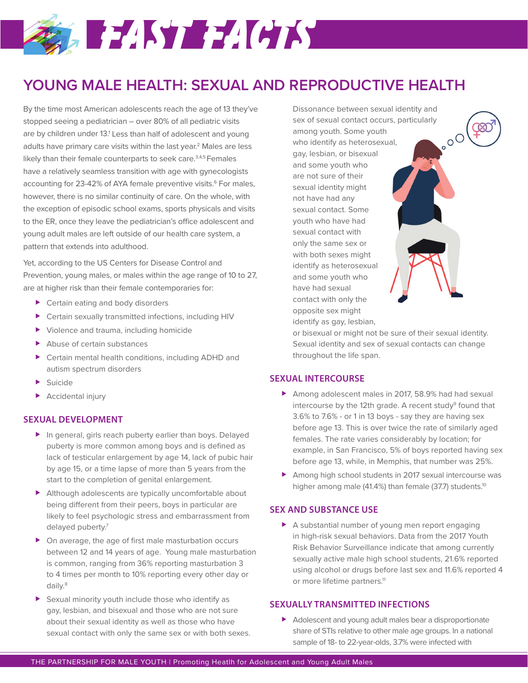# **EAST FACTS**

## **YOUNG MALE HEALTH: SEXUAL AND REPRODUCTIVE HEALTH**

By the time most American adolescents reach the age of 13 they've stopped seeing a pediatrician – over 80% of all pediatric visits are by children under 13.<sup>1</sup> Less than half of adolescent and young adults have primary care visits within the last year.<sup>2</sup> Males are less likely than their female counterparts to seek care.<sup>3,4,5</sup> Females have a relatively seamless transition with age with gynecologists accounting for 23-42% of AYA female preventive visits.<sup>6</sup> For males, however, there is no similar continuity of care. On the whole, with the exception of episodic school exams, sports physicals and visits to the ER, once they leave the pediatrician's office adolescent and young adult males are left outside of our health care system, a pattern that extends into adulthood.

Yet, according to the US Centers for Disease Control and Prevention, young males, or males within the age range of 10 to 27, are at higher risk than their female contemporaries for:

- ▶ Certain eating and body disorders
- Certain sexually transmitted infections, including HIV
- Violence and trauma, including homicide
- ▶ Abuse of certain substances
- ▶ Certain mental health conditions, including ADHD and autism spectrum disorders
- **>**Suicide
- $\blacktriangleright$  Accidental injury

### **SEXUAL DEVELOPMENT**

- In general, girls reach puberty earlier than boys. Delayed puberty is more common among boys and is defined as lack of testicular enlargement by age 14, lack of pubic hair by age 15, or a time lapse of more than 5 years from the start to the completion of genital enlargement.
- Although adolescents are typically uncomfortable about being different from their peers, boys in particular are likely to feel psychologic stress and embarrassment from delayed puberty.<sup>7</sup>
- On average, the age of first male masturbation occurs between 12 and 14 years of age. Young male masturbation is common, ranging from 36% reporting masturbation 3 to 4 times per month to 10% reporting every other day or daily.8
- Sexual minority youth include those who identify as gay, lesbian, and bisexual and those who are not sure about their sexual identity as well as those who have sexual contact with only the same sex or with both sexes.

Dissonance between sexual identity and sex of sexual contact occurs, particularly among youth. Some youth who identify as heterosexual, gay, lesbian, or bisexual and some youth who are not sure of their sexual identity might not have had any sexual contact. Some youth who have had sexual contact with only the same sex or with both sexes might identify as heterosexual and some youth who have had sexual contact with only the opposite sex might identify as gay, lesbian,

or bisexual or might not be sure of their sexual identity. Sexual identity and sex of sexual contacts can change throughout the life span.

 $\circ$ °

#### **SEXUAL INTERCOURSE**

- Among adolescent males in 2017, 58.9% had had sexual intercourse by the 12th grade. A recent study<sup>9</sup> found that 3.6% to 7.6% - or 1 in 13 boys - say they are having sex before age 13. This is over twice the rate of similarly aged females. The rate varies considerably by location; for example, in San Francisco, 5% of boys reported having sex before age 13, while, in Memphis, that number was 25%.
- Among high school students in 2017 sexual intercourse was higher among male (41.4%) than female (37.7) students.<sup>10</sup>

#### **SEX AND SUBSTANCE USE**

 A substantial number of young men report engaging in high-risk sexual behaviors. Data from the 2017 Youth Risk Behavior Surveillance indicate that among currently sexually active male high school students, 21.6% reported using alcohol or drugs before last sex and 11.6% reported 4 or more lifetime partners.<sup>11</sup>

#### **SEXUALLY TRANSMITTED INFECTIONS**

Adolescent and young adult males bear a disproportionate share of STIs relative to other male age groups. In a national sample of 18- to 22-year-olds, 3.7% were infected with